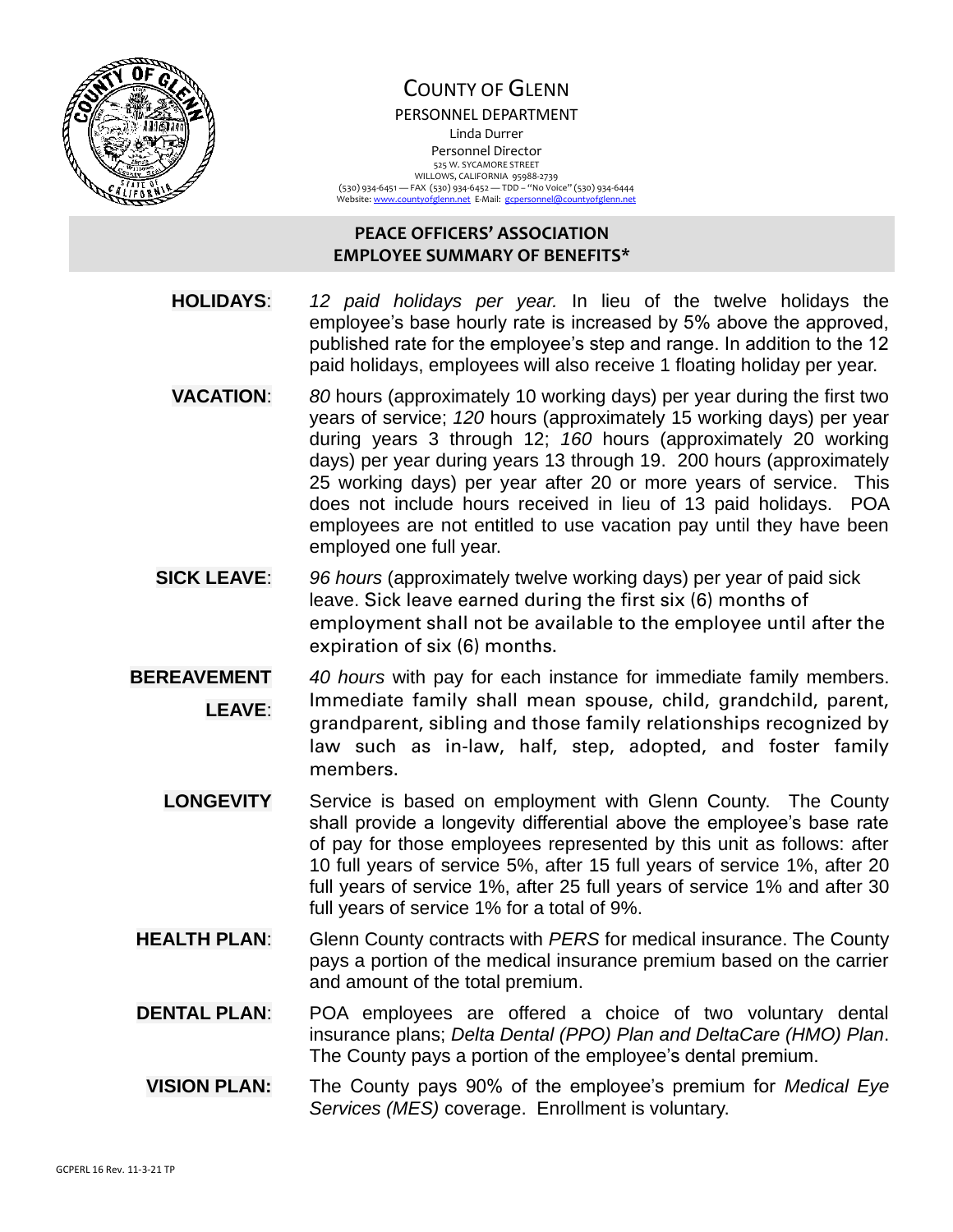

## COUNTY OF GLENN PERSONNEL DEPARTMENT Linda Durrer Personnel Director 525 W. SYCAMORE STREET WILLOWS, CALIFORNIA 95988-2739 (530) 934-6451 — FAX (530) 934-6452 — TDD – "No Voice" (530) 934-6444<br>Website: <u>www.countyofglenn.net</u> E-Mail: <u>gcpersonnel@countyofglenn.net</u>

## **PEACE OFFICERS' ASSOCIATION EMPLOYEE SUMMARY OF BENEFITS\***

- **HOLIDAYS**: *12 paid holidays per year.* In lieu of the twelve holidays the employee's base hourly rate is increased by 5% above the approved, published rate for the employee's step and range. In addition to the 12 paid holidays, employees will also receive 1 floating holiday per year.
- **VACATION**: *80* hours (approximately 10 working days) per year during the first two years of service; *120* hours (approximately 15 working days) per year during years 3 through 12; *160* hours (approximately 20 working days) per year during years 13 through 19. 200 hours (approximately 25 working days) per year after 20 or more years of service. This does not include hours received in lieu of 13 paid holidays. POA employees are not entitled to use vacation pay until they have been employed one full year.
- **SICK LEAVE**: *96 hours* (approximately twelve working days) per year of paid sick leave. Sick leave earned during the first six (6) months of employment shall not be available to the employee until after the expiration of six (6) months.
- **BEREAVEMENT LEAVE**: *40 hours* with pay for each instance for immediate family members. Immediate family shall mean spouse, child, grandchild, parent, grandparent, sibling and those family relationships recognized by law such as in-law, half, step, adopted, and foster family members.
	- **LONGEVITY** Service is based on employment with Glenn County. The County shall provide a longevity differential above the employee's base rate of pay for those employees represented by this unit as follows: after 10 full years of service 5%, after 15 full years of service 1%, after 20 full years of service 1%, after 25 full years of service 1% and after 30 full years of service 1% for a total of 9%.
- **HEALTH PLAN**: Glenn County contracts with *PERS* for medical insurance. The County pays a portion of the medical insurance premium based on the carrier and amount of the total premium.
- **DENTAL PLAN:** POA employees are offered a choice of two voluntary dental insurance plans; *Delta Dental (PPO) Plan and DeltaCare (HMO) Plan*. The County pays a portion of the employee's dental premium.
- **VISION PLAN:** The County pays 90% of the employee's premium for *Medical Eye Services (MES)* coverage. Enrollment is voluntary.